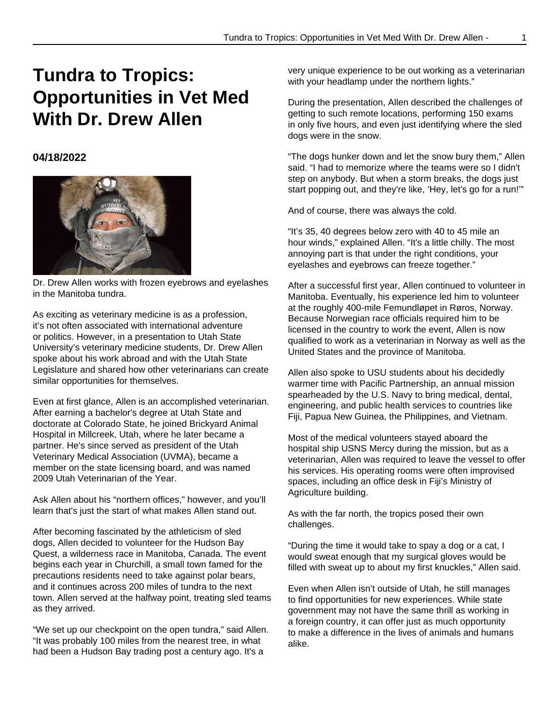## **Tundra to Tropics: Opportunities in Vet Med With Dr. Drew Allen**

## **04/18/2022**



Dr. Drew Allen works with frozen eyebrows and eyelashes in the Manitoba tundra.

As exciting as veterinary medicine is as a profession, it's not often associated with international adventure or politics. However, in a presentation to Utah State University's veterinary medicine students, Dr. Drew Allen spoke about his work abroad and with the Utah State Legislature and shared how other veterinarians can create similar opportunities for themselves.

Even at first glance, Allen is an accomplished veterinarian. After earning a bachelor's degree at Utah State and doctorate at Colorado State, he joined Brickyard Animal Hospital in Millcreek, Utah, where he later became a partner. He's since served as president of the Utah Veterinary Medical Association (UVMA), became a member on the state licensing board, and was named 2009 Utah Veterinarian of the Year.

Ask Allen about his "northern offices," however, and you'll learn that's just the start of what makes Allen stand out.

After becoming fascinated by the athleticism of sled dogs, Allen decided to volunteer for the Hudson Bay Quest, a wilderness race in Manitoba, Canada. The event begins each year in Churchill, a small town famed for the precautions residents need to take against polar bears, and it continues across 200 miles of tundra to the next town. Allen served at the halfway point, treating sled teams as they arrived.

"We set up our checkpoint on the open tundra," said Allen. "It was probably 100 miles from the nearest tree, in what had been a Hudson Bay trading post a century ago. It's a

very unique experience to be out working as a veterinarian with your headlamp under the northern lights."

During the presentation, Allen described the challenges of getting to such remote locations, performing 150 exams in only five hours, and even just identifying where the sled dogs were in the snow.

"The dogs hunker down and let the snow bury them," Allen said. "I had to memorize where the teams were so I didn't step on anybody. But when a storm breaks, the dogs just start popping out, and they're like, 'Hey, let's go for a run!'"

And of course, there was always the cold.

"It's 35, 40 degrees below zero with 40 to 45 mile an hour winds," explained Allen. "It's a little chilly. The most annoying part is that under the right conditions, your eyelashes and eyebrows can freeze together."

After a successful first year, Allen continued to volunteer in Manitoba. Eventually, his experience led him to volunteer at the roughly 400-mile Femundløpet in Røros, Norway. Because Norwegian race officials required him to be licensed in the country to work the event, Allen is now qualified to work as a veterinarian in Norway as well as the United States and the province of Manitoba.

Allen also spoke to USU students about his decidedly warmer time with Pacific Partnership, an annual mission spearheaded by the U.S. Navy to bring medical, dental, engineering, and public health services to countries like Fiji, Papua New Guinea, the Philippines, and Vietnam.

Most of the medical volunteers stayed aboard the hospital ship USNS Mercy during the mission, but as a veterinarian, Allen was required to leave the vessel to offer his services. His operating rooms were often improvised spaces, including an office desk in Fiji's Ministry of Agriculture building.

As with the far north, the tropics posed their own challenges.

"During the time it would take to spay a dog or a cat, I would sweat enough that my surgical gloves would be filled with sweat up to about my first knuckles," Allen said.

Even when Allen isn't outside of Utah, he still manages to find opportunities for new experiences. While state government may not have the same thrill as working in a foreign country, it can offer just as much opportunity to make a difference in the lives of animals and humans alike.